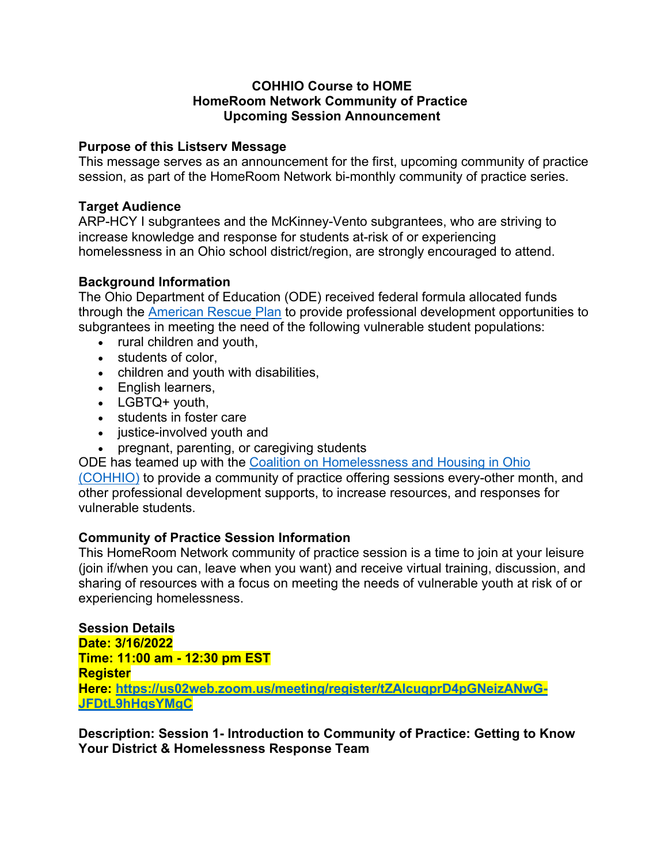### **COHHIO Course to HOME HomeRoom Network Community of Practice Upcoming Session Announcement**

### **Purpose of this Listserv Message**

This message serves as an announcement for the first, upcoming community of practice session, as part of the HomeRoom Network bi-monthly community of practice series.

## **Target Audience**

ARP-HCY I subgrantees and the McKinney-Vento subgrantees, who are striving to increase knowledge and response for students at-risk of or experiencing homelessness in an Ohio school district/region, are strongly encouraged to attend.

# **Background Information**

The Ohio Department of Education (ODE) received federal formula allocated funds through the American Rescue Plan to provide professional development opportunities to subgrantees in meeting the need of the following vulnerable student populations:

- rural children and youth,
- students of color,
- children and youth with disabilities,
- English learners,
- LGBTQ+ youth,
- students in foster care
- justice-involved youth and
- pregnant, parenting, or caregiving students

ODE has teamed up with the Coalition on Homelessness and Housing in Ohio (COHHIO) to provide a community of practice offering sessions every-other month, and other professional development supports, to increase resources, and responses for vulnerable students.

# **Community of Practice Session Information**

This HomeRoom Network community of practice session is a time to join at your leisure (join if/when you can, leave when you want) and receive virtual training, discussion, and sharing of resources with a focus on meeting the needs of vulnerable youth at risk of or experiencing homelessness.

**Session Details Date: 3/16/2022 Time: 11:00 am - 12:30 pm EST Register Here: https://us02web.zoom.us/meeting/register/tZAlcuqprD4pGNeizANwG-JFDtL9hHqsYMgC**

**Description: Session 1- Introduction to Community of Practice: Getting to Know Your District & Homelessness Response Team**